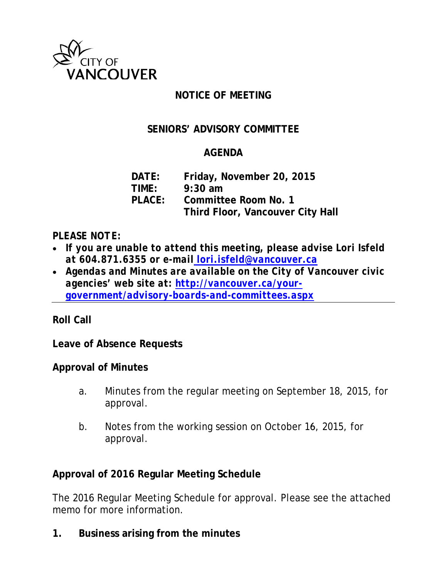

## **NOTICE OF MEETING**

### **SENIORS' ADVISORY COMMITTEE**

#### **AGENDA**

**DATE: Friday, November 20, 2015 TIME: 9:30 am PLACE: Committee Room No. 1 Third Floor, Vancouver City Hall**

#### *PLEASE NOTE:*

- *If you are unable to attend this meeting, please advise Lori Isfeld at 604.871.6355 or e-mail [lori.isfeld@vancouver.ca](mailto:%20lori.isfeld@vancouver.ca)*
- *Agendas and Minutes are available on the City of Vancouver civic agencies' web site at: [http://vancouver.ca/your](http://vancouver.ca/your-government/advisory-boards-and-committees.aspx)[government/advisory-boards-and-committees.aspx](http://vancouver.ca/your-government/advisory-boards-and-committees.aspx)*

#### **Roll Call**

**Leave of Absence Requests**

#### **Approval of Minutes**

- a. Minutes from the regular meeting on September 18, 2015, for approval.
- b. Notes from the working session on October 16, 2015, for approval.

#### **Approval of 2016 Regular Meeting Schedule**

The 2016 Regular Meeting Schedule for approval. Please see the attached memo for more information.

**1. Business arising from the minutes**